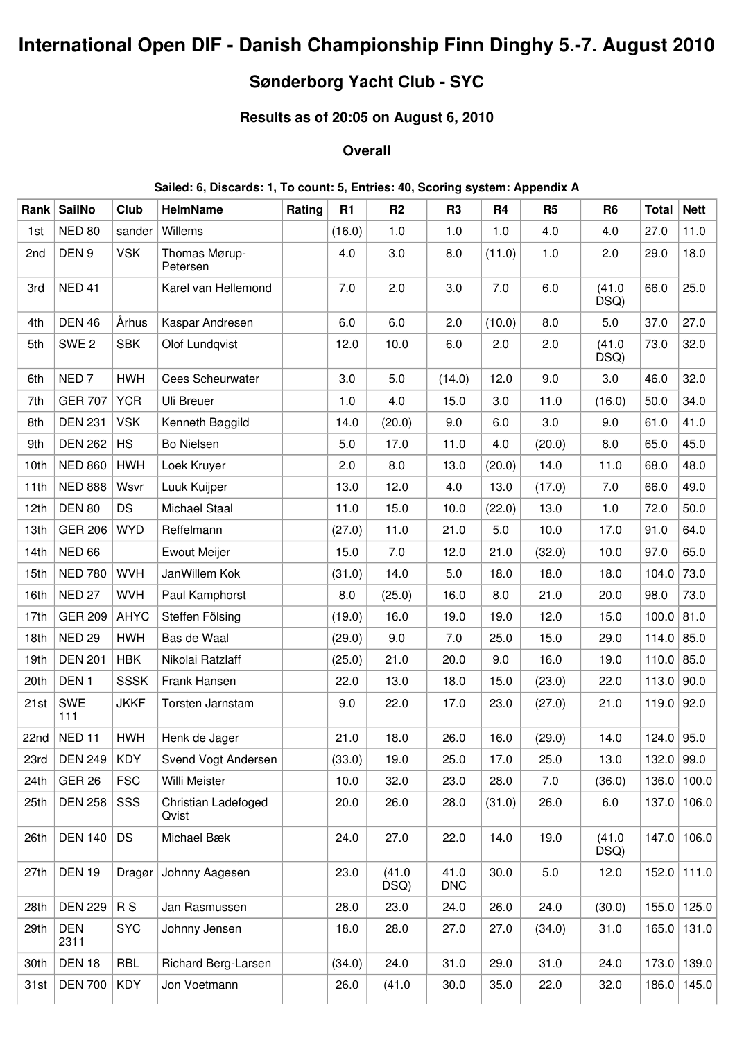# **International Open DIF - Danish Championship Finn Dinghy 5.-7. August 2010**

## **Sønderborg Yacht Club - SYC**

## **Results as of 20:05 on August 6, 2010**

#### **Overall**

### **Sailed: 6, Discards: 1, To count: 5, Entries: 40, Scoring system: Appendix A**

| Rank | <b>SailNo</b>      | Club           | <b>HelmName</b>              | Rating | <b>R1</b> | R <sub>2</sub> | R <sub>3</sub>     | <b>R4</b> | R <sub>5</sub> | R <sub>6</sub> | <b>Total</b> | <b>Nett</b> |
|------|--------------------|----------------|------------------------------|--------|-----------|----------------|--------------------|-----------|----------------|----------------|--------------|-------------|
| 1st  | <b>NED 80</b>      | sander         | Willems                      |        | (16.0)    | 1.0            | 1.0                | 1.0       | 4.0            | 4.0            | 27.0         | 11.0        |
| 2nd  | DEN <sub>9</sub>   | <b>VSK</b>     | Thomas Mørup-<br>Petersen    |        | 4.0       | 3.0            | 8.0                | (11.0)    | 1.0            | 2.0            | 29.0         | 18.0        |
| 3rd  | <b>NED 41</b>      |                | Karel van Hellemond          |        | 7.0       | 2.0            | 3.0                | 7.0       | 6.0            | (41.0)<br>DSQ) | 66.0         | 25.0        |
| 4th  | <b>DEN 46</b>      | Århus          | Kaspar Andresen              |        | 6.0       | 6.0            | 2.0                | (10.0)    | 8.0            | 5.0            | 37.0         | 27.0        |
| 5th  | SWE <sub>2</sub>   | <b>SBK</b>     | Olof Lundqvist               |        | 12.0      | 10.0           | 6.0                | 2.0       | 2.0            | (41.0)<br>DSQ) | 73.0         | 32.0        |
| 6th  | NED <sub>7</sub>   | <b>HWH</b>     | Cees Scheurwater             |        | 3.0       | 5.0            | (14.0)             | 12.0      | 9.0            | 3.0            | 46.0         | 32.0        |
| 7th  | <b>GER 707</b>     | <b>YCR</b>     | <b>Uli Breuer</b>            |        | 1.0       | 4.0            | 15.0               | 3.0       | 11.0           | (16.0)         | 50.0         | 34.0        |
| 8th  | <b>DEN 231</b>     | <b>VSK</b>     | Kenneth Bøggild              |        | 14.0      | (20.0)         | 9.0                | 6.0       | 3.0            | 9.0            | 61.0         | 41.0        |
| 9th  | <b>DEN 262</b>     | <b>HS</b>      | Bo Nielsen                   |        | 5.0       | 17.0           | 11.0               | 4.0       | (20.0)         | 8.0            | 65.0         | 45.0        |
| 10th | <b>NED 860</b>     | <b>HWH</b>     | Loek Kruyer                  |        | 2.0       | 8.0            | 13.0               | (20.0)    | 14.0           | 11.0           | 68.0         | 48.0        |
| 11th | <b>NED 888</b>     | Wsvr           | Luuk Kuijper                 |        | 13.0      | 12.0           | 4.0                | 13.0      | (17.0)         | 7.0            | 66.0         | 49.0        |
| 12th | <b>DEN 80</b>      | DS             | <b>Michael Staal</b>         |        | 11.0      | 15.0           | 10.0               | (22.0)    | 13.0           | 1.0            | 72.0         | 50.0        |
| 13th | <b>GER 206</b>     | <b>WYD</b>     | Reffelmann                   |        | (27.0)    | 11.0           | 21.0               | 5.0       | 10.0           | 17.0           | 91.0         | 64.0        |
| 14th | <b>NED 66</b>      |                | <b>Ewout Meijer</b>          |        | 15.0      | 7.0            | 12.0               | 21.0      | (32.0)         | 10.0           | 97.0         | 65.0        |
| 15th | <b>NED 780</b>     | <b>WVH</b>     | JanWillem Kok                |        | (31.0)    | 14.0           | 5.0                | 18.0      | 18.0           | 18.0           | 104.0        | 73.0        |
| 16th | <b>NED 27</b>      | <b>WVH</b>     | Paul Kamphorst               |        | 8.0       | (25.0)         | 16.0               | 8.0       | 21.0           | 20.0           | 98.0         | 73.0        |
| 17th | <b>GER 209</b>     | <b>AHYC</b>    | Steffen Fölsing              |        | (19.0)    | 16.0           | 19.0               | 19.0      | 12.0           | 15.0           | 100.0        | 81.0        |
| 18th | <b>NED 29</b>      | <b>HWH</b>     | Bas de Waal                  |        | (29.0)    | 9.0            | 7.0                | 25.0      | 15.0           | 29.0           | 114.0        | 85.0        |
| 19th | <b>DEN 201</b>     | <b>HBK</b>     | Nikolai Ratzlaff             |        | (25.0)    | 21.0           | 20.0               | 9.0       | 16.0           | 19.0           | 110.0        | 85.0        |
| 20th | DEN <sub>1</sub>   | <b>SSSK</b>    | Frank Hansen                 |        | 22.0      | 13.0           | 18.0               | 15.0      | (23.0)         | 22.0           | 113.0        | 90.0        |
| 21st | <b>SWE</b><br>111  | <b>JKKF</b>    | Torsten Jarnstam             |        | 9.0       | 22.0           | 17.0               | 23.0      | (27.0)         | 21.0           | 119.0        | 92.0        |
| 22nd | <b>NED 11</b>      | <b>HWH</b>     | Henk de Jager                |        | 21.0      | 18.0           | 26.0               | 16.0      | (29.0)         | 14.0           | 124.0        | 95.0        |
| 23rd | <b>DEN 249</b>     | <b>KDY</b>     | Svend Vogt Andersen          |        | (33.0)    | 19.0           | 25.0               | 17.0      | 25.0           | 13.0           | 132.0        | 99.0        |
| 24th | <b>GER 26</b>      | <b>FSC</b>     | Willi Meister                |        | 10.0      | 32.0           | 23.0               | 28.0      | 7.0            | (36.0)         | 136.0        | 100.0       |
| 25th | <b>DEN 258</b>     | SSS            | Christian Ladefoged<br>Qvist |        | 20.0      | 26.0           | 28.0               | (31.0)    | 26.0           | 6.0            | 137.0        | 106.0       |
| 26th | <b>DEN 140</b>     | <b>DS</b>      | Michael Bæk                  |        | 24.0      | 27.0           | 22.0               | 14.0      | 19.0           | (41.0)<br>DSQ) | 147.0        | 106.0       |
| 27th | <b>DEN 19</b>      | Dragør         | Johnny Aagesen               |        | 23.0      | (41.0)<br>DSQ) | 41.0<br><b>DNC</b> | 30.0      | 5.0            | 12.0           | 152.0        | 111.0       |
| 28th | <b>DEN 229</b>     | R <sub>S</sub> | Jan Rasmussen                |        | 28.0      | 23.0           | 24.0               | 26.0      | 24.0           | (30.0)         | 155.0        | 125.0       |
| 29th | <b>DEN</b><br>2311 | <b>SYC</b>     | Johnny Jensen                |        | 18.0      | 28.0           | 27.0               | 27.0      | (34.0)         | 31.0           | 165.0        | 131.0       |
| 30th | <b>DEN 18</b>      | RBL            | Richard Berg-Larsen          |        | (34.0)    | 24.0           | 31.0               | 29.0      | 31.0           | 24.0           | 173.0        | 139.0       |
| 31st | <b>DEN 700</b>     | <b>KDY</b>     | Jon Voetmann                 |        | 26.0      | (41.0)         | 30.0               | 35.0      | 22.0           | 32.0           | 186.0        | 145.0       |